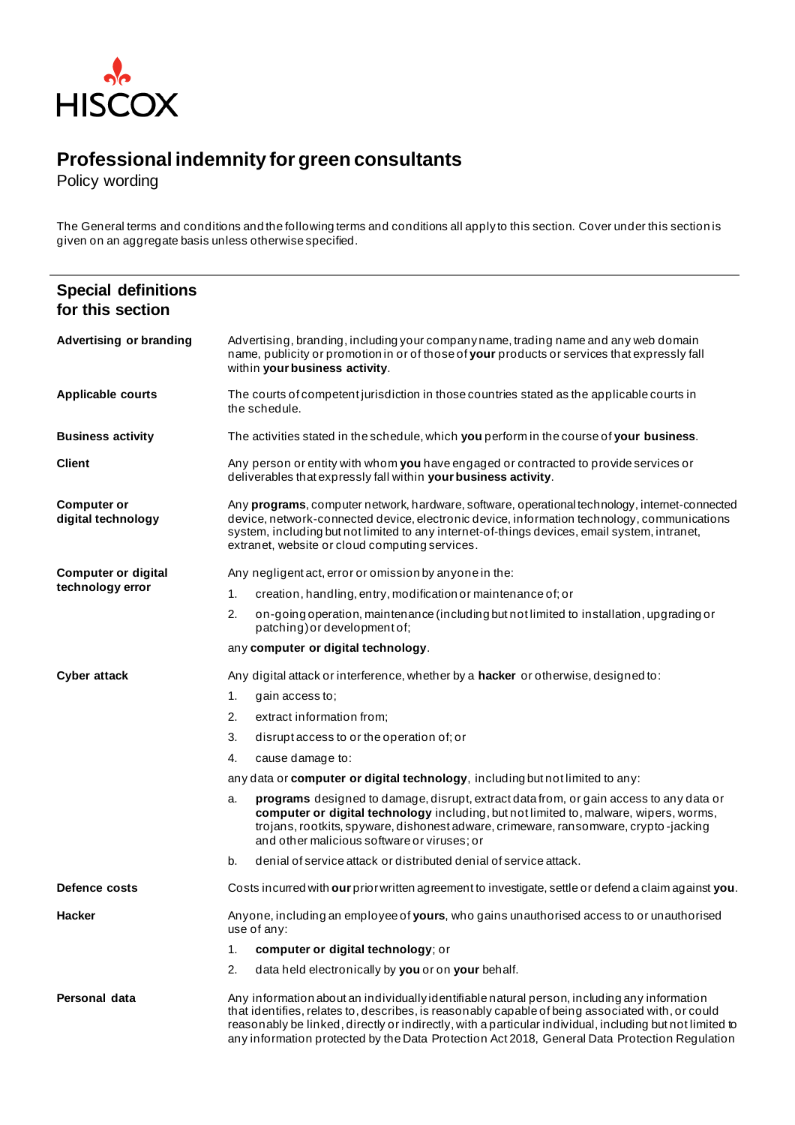

## **Professional indemnity for green consultants**

Policy wording

The General terms and conditions and the following terms and conditions all apply to this section. Cover under this section is given on an aggregate basis unless otherwise specified.

| <b>Special definitions</b><br>for this section |                                                                                                                                                                                                                                                                                                                                                                                                               |  |  |  |
|------------------------------------------------|---------------------------------------------------------------------------------------------------------------------------------------------------------------------------------------------------------------------------------------------------------------------------------------------------------------------------------------------------------------------------------------------------------------|--|--|--|
| <b>Advertising or branding</b>                 | Advertising, branding, including your companyname, trading name and any web domain<br>name, publicity or promotion in or of those of your products or services that expressly fall<br>within your business activity.                                                                                                                                                                                          |  |  |  |
| <b>Applicable courts</b>                       | The courts of competent jurisdiction in those countries stated as the applicable courts in<br>the schedule.                                                                                                                                                                                                                                                                                                   |  |  |  |
| <b>Business activity</b>                       | The activities stated in the schedule, which you perform in the course of your business.                                                                                                                                                                                                                                                                                                                      |  |  |  |
| <b>Client</b>                                  | Any person or entity with whom you have engaged or contracted to provide services or<br>deliverables that expressly fall within your business activity.                                                                                                                                                                                                                                                       |  |  |  |
| <b>Computer or</b><br>digital technology       | Any programs, computer network, hardware, software, operational technology, intemet-connected<br>device, network-connected device, electronic device, information technology, communications<br>system, including but not limited to any internet-of-things devices, email system, intranet,<br>extranet, website or cloud computing services.                                                                |  |  |  |
| <b>Computer or digital</b>                     | Any negligent act, error or omission by anyone in the:                                                                                                                                                                                                                                                                                                                                                        |  |  |  |
| technology error                               | creation, handling, entry, modification or maintenance of; or<br>1.                                                                                                                                                                                                                                                                                                                                           |  |  |  |
|                                                | 2.<br>on-going operation, maintenance (including but not limited to installation, upgrading or<br>patching) or development of;                                                                                                                                                                                                                                                                                |  |  |  |
|                                                | any computer or digital technology.                                                                                                                                                                                                                                                                                                                                                                           |  |  |  |
| <b>Cyber attack</b>                            | Any digital attack or interference, whether by a <b>hacker</b> or otherwise, designed to:                                                                                                                                                                                                                                                                                                                     |  |  |  |
|                                                | 1.<br>gain access to;                                                                                                                                                                                                                                                                                                                                                                                         |  |  |  |
|                                                | 2.<br>extract information from;                                                                                                                                                                                                                                                                                                                                                                               |  |  |  |
|                                                | 3.<br>disrupt access to or the operation of; or                                                                                                                                                                                                                                                                                                                                                               |  |  |  |
|                                                | cause damage to:<br>4.                                                                                                                                                                                                                                                                                                                                                                                        |  |  |  |
|                                                | any data or computer or digital technology, including but not limited to any:                                                                                                                                                                                                                                                                                                                                 |  |  |  |
|                                                | <b>programs</b> designed to damage, disrupt, extract data from, or gain access to any data or<br>a.<br>computer or digital technology including, but not limited to, malware, wipers, worms,<br>trojans, rootkits, spyware, dishonest adware, crimeware, ransomware, crypto-jacking<br>and other malicious software or viruses; or                                                                            |  |  |  |
|                                                | denial of service attack or distributed denial of service attack.<br>b.                                                                                                                                                                                                                                                                                                                                       |  |  |  |
| Defence costs                                  | Costs incurred with our prior written agreement to investigate, settle or defend a claim against you.                                                                                                                                                                                                                                                                                                         |  |  |  |
| <b>Hacker</b>                                  | Anyone, including an employee of yours, who gains unauthorised access to or unauthorised<br>use of any:                                                                                                                                                                                                                                                                                                       |  |  |  |
|                                                | computer or digital technology; or<br>1.                                                                                                                                                                                                                                                                                                                                                                      |  |  |  |
|                                                | 2.<br>data held electronically by you or on your behalf.                                                                                                                                                                                                                                                                                                                                                      |  |  |  |
| Personal data                                  | Any information about an individually identifiable natural person, including any information<br>that identifies, relates to, describes, is reasonably capable of being associated with, or could<br>reasonably be linked, directly or indirectly, with a particular individual, including but not limited to<br>any information protected by the Data Protection Act 2018, General Data Protection Regulation |  |  |  |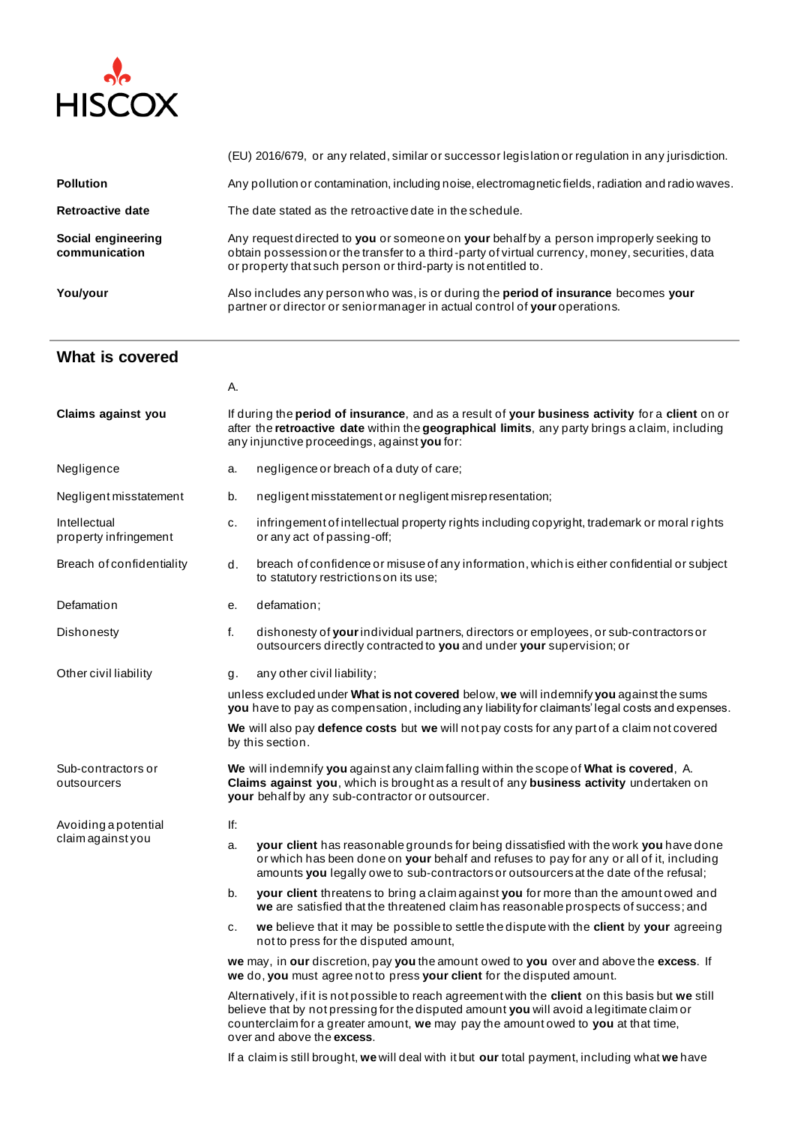

|                                     | (EU) 2016/679, or any related, similar or successor legislation or regulation in any jurisdiction.                                                                                                                                                            |
|-------------------------------------|---------------------------------------------------------------------------------------------------------------------------------------------------------------------------------------------------------------------------------------------------------------|
| <b>Pollution</b>                    | Any pollution or contamination, including noise, electromagnetic fields, radiation and radio waves.                                                                                                                                                           |
| Retroactive date                    | The date stated as the retroactive date in the schedule.                                                                                                                                                                                                      |
| Social engineering<br>communication | Any request directed to you or someone on your behalf by a person improperly seeking to<br>obtain possession or the transfer to a third-party of virtual currency, money, securities, data<br>or property that such person or third-party is not entitled to. |
| You/your                            | Also includes any person who was, is or during the period of insurance becomes your<br>partner or director or senior manager in actual control of your operations.                                                                                            |

## **What is covered**

|                                           | А.                                                                                                                                                                                                                                                                                                                         |                                                                                                                                                                                                                                                                            |  |  |
|-------------------------------------------|----------------------------------------------------------------------------------------------------------------------------------------------------------------------------------------------------------------------------------------------------------------------------------------------------------------------------|----------------------------------------------------------------------------------------------------------------------------------------------------------------------------------------------------------------------------------------------------------------------------|--|--|
| Claims against you                        |                                                                                                                                                                                                                                                                                                                            | If during the <b>period of insurance</b> , and as a result of your business activity for a client on or<br>after the retroactive date within the geographical limits, any party brings a claim, including<br>any injunctive proceedings, against you for:                  |  |  |
| Negligence                                | a.                                                                                                                                                                                                                                                                                                                         | negligence or breach of a duty of care;                                                                                                                                                                                                                                    |  |  |
| Negligent misstatement                    | b.                                                                                                                                                                                                                                                                                                                         | negligent misstatement or negligent misrep resentation;                                                                                                                                                                                                                    |  |  |
| Intellectual<br>property infringement     | c.                                                                                                                                                                                                                                                                                                                         | infringement of intellectual property rights including copyright, trademark or moral rights<br>or any act of passing-off;                                                                                                                                                  |  |  |
| Breach of confidentiality                 | d.                                                                                                                                                                                                                                                                                                                         | breach of confidence or misuse of any information, which is either confidential or subject<br>to statutory restrictions on its use;                                                                                                                                        |  |  |
| Defamation                                | е.                                                                                                                                                                                                                                                                                                                         | defamation;                                                                                                                                                                                                                                                                |  |  |
| Dishonesty                                | f.                                                                                                                                                                                                                                                                                                                         | dishonesty of your individual partners, directors or employees, or sub-contractors or<br>outsourcers directly contracted to you and under your supervision; or                                                                                                             |  |  |
| Other civil liability                     | g.                                                                                                                                                                                                                                                                                                                         | any other civil liability;                                                                                                                                                                                                                                                 |  |  |
|                                           | unless excluded under What is not covered below, we will indemnify you against the sums<br>you have to pay as compensation, including any liability for claimants' legal costs and expenses.                                                                                                                               |                                                                                                                                                                                                                                                                            |  |  |
|                                           |                                                                                                                                                                                                                                                                                                                            | We will also pay defence costs but we will not pay costs for any part of a claim not covered<br>by this section.                                                                                                                                                           |  |  |
| Sub-contractors or<br>outsourcers         | We will indemnify you against any claim falling within the scope of What is covered, A.<br>Claims against you, which is brought as a result of any business activity undertaken on<br>your behalf by any sub-contractor or outsourcer.                                                                                     |                                                                                                                                                                                                                                                                            |  |  |
| Avoiding a potential<br>claim against you | lf:                                                                                                                                                                                                                                                                                                                        |                                                                                                                                                                                                                                                                            |  |  |
|                                           | a.                                                                                                                                                                                                                                                                                                                         | your client has reasonable grounds for being dissatisfied with the work you have done<br>or which has been done on your behalf and refuses to pay for any or all of it, including<br>amounts you legally owe to sub-contractors or outsourcers at the date of the refusal; |  |  |
|                                           | b.                                                                                                                                                                                                                                                                                                                         | <b>your client</b> threatens to bring a claim against <b>you</b> for more than the amount owed and<br>we are satisfied that the threatened claim has reasonable prospects of success; and                                                                                  |  |  |
|                                           | c.                                                                                                                                                                                                                                                                                                                         | we believe that it may be possible to settle the dispute with the client by your agreeing<br>not to press for the disputed amount,                                                                                                                                         |  |  |
|                                           | we may, in our discretion, pay you the amount owed to you over and above the excess. If<br>we do, you must agree not to press your client for the disputed amount.                                                                                                                                                         |                                                                                                                                                                                                                                                                            |  |  |
|                                           | Alternatively, if it is not possible to reach agreement with the client on this basis but we still<br>believe that by not pressing for the disputed amount <b>you</b> will avoid a legitimate claim or<br>counterclaim for a greater amount, we may pay the amount owed to you at that time,<br>over and above the excess. |                                                                                                                                                                                                                                                                            |  |  |
|                                           |                                                                                                                                                                                                                                                                                                                            | If a claim is still brought, we will deal with it but our total payment, including what we have                                                                                                                                                                            |  |  |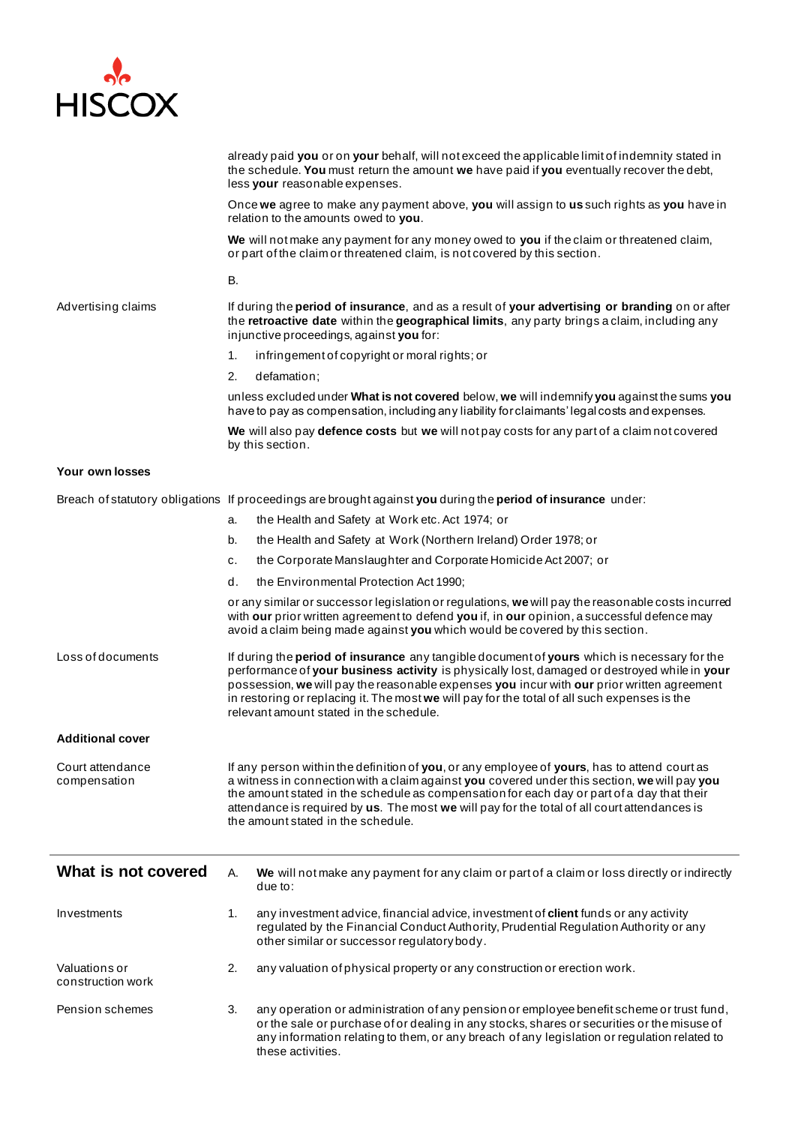

|                                    | already paid you or on your behalf, will not exceed the applicable limit of indemnity stated in<br>the schedule. You must return the amount we have paid if you eventually recover the debt,<br>less your reasonable expenses.                                                                                                                                                                                                       |
|------------------------------------|--------------------------------------------------------------------------------------------------------------------------------------------------------------------------------------------------------------------------------------------------------------------------------------------------------------------------------------------------------------------------------------------------------------------------------------|
|                                    | Once we agree to make any payment above, you will assign to us such rights as you have in<br>relation to the amounts owed to you.                                                                                                                                                                                                                                                                                                    |
|                                    | We will not make any payment for any money owed to you if the claim or threatened claim,<br>or part of the claim or threatened claim, is not covered by this section.                                                                                                                                                                                                                                                                |
|                                    | В.                                                                                                                                                                                                                                                                                                                                                                                                                                   |
| Advertising claims                 | If during the period of insurance, and as a result of your advertising or branding on or after<br>the retroactive date within the geographical limits, any party brings a claim, including any<br>injunctive proceedings, against you for:                                                                                                                                                                                           |
|                                    | infringement of copyright or moral rights; or<br>1.                                                                                                                                                                                                                                                                                                                                                                                  |
|                                    | 2.<br>defamation;                                                                                                                                                                                                                                                                                                                                                                                                                    |
|                                    | unless excluded under What is not covered below, we will indemnify you against the sums you<br>have to pay as compensation, including any liability for claimants' legal costs and expenses.                                                                                                                                                                                                                                         |
|                                    | We will also pay defence costs but we will not pay costs for any part of a claim not covered<br>by this section.                                                                                                                                                                                                                                                                                                                     |
| Your own losses                    |                                                                                                                                                                                                                                                                                                                                                                                                                                      |
|                                    | Breach of statutory obligations If proceedings are brought against you during the period of insurance under:                                                                                                                                                                                                                                                                                                                         |
|                                    | the Health and Safety at Work etc. Act 1974; or<br>a.                                                                                                                                                                                                                                                                                                                                                                                |
|                                    | the Health and Safety at Work (Northern Ireland) Order 1978; or<br>b.                                                                                                                                                                                                                                                                                                                                                                |
|                                    | the Corporate Manslaughter and Corporate Homicide Act 2007; or<br>c.                                                                                                                                                                                                                                                                                                                                                                 |
|                                    | the Environmental Protection Act 1990;<br>d.                                                                                                                                                                                                                                                                                                                                                                                         |
|                                    | or any similar or successor legislation or regulations, we will pay the reasonable costs incurred<br>with our prior written agreement to defend you if, in our opinion, a successful defence may<br>avoid a claim being made against you which would be covered by this section.                                                                                                                                                     |
| Loss of documents                  | If during the period of insurance any tangible document of yours which is necessary for the<br>performance of your business activity is physically lost, damaged or destroyed while in your<br>possession, we will pay the reasonable expenses you incur with our prior written agreement<br>in restoring or replacing it. The most we will pay for the total of all such expenses is the<br>relevant amount stated in the schedule. |
| <b>Additional cover</b>            |                                                                                                                                                                                                                                                                                                                                                                                                                                      |
| Court attendance<br>compensation   | If any person within the definition of you, or any employee of yours, has to attend court as<br>a witness in connection with a claim against you covered under this section, we will pay you<br>the amount stated in the schedule as compensation for each day or part of a day that their<br>attendance is required by us. The most we will pay for the total of all court attendances is<br>the amount stated in the schedule.     |
| What is not covered                | А.<br>We will not make any payment for any claim or part of a claim or loss directly or indirectly<br>due to:                                                                                                                                                                                                                                                                                                                        |
| Investments                        | any investment advice, financial advice, investment of client funds or any activity<br>1.<br>regulated by the Financial Conduct Authority, Prudential Regulation Authority or any<br>other similar or successor regulatory body.                                                                                                                                                                                                     |
| Valuations or<br>construction work | 2.<br>any valuation of physical property or any construction or erection work.                                                                                                                                                                                                                                                                                                                                                       |
| Pension schemes                    | 3.<br>any operation or administration of any pension or employee benefit scheme or trust fund,<br>or the sale or purchase of or dealing in any stocks, shares or securities or the misuse of<br>any information relating to them, or any breach of any legislation or regulation related to<br>these activities.                                                                                                                     |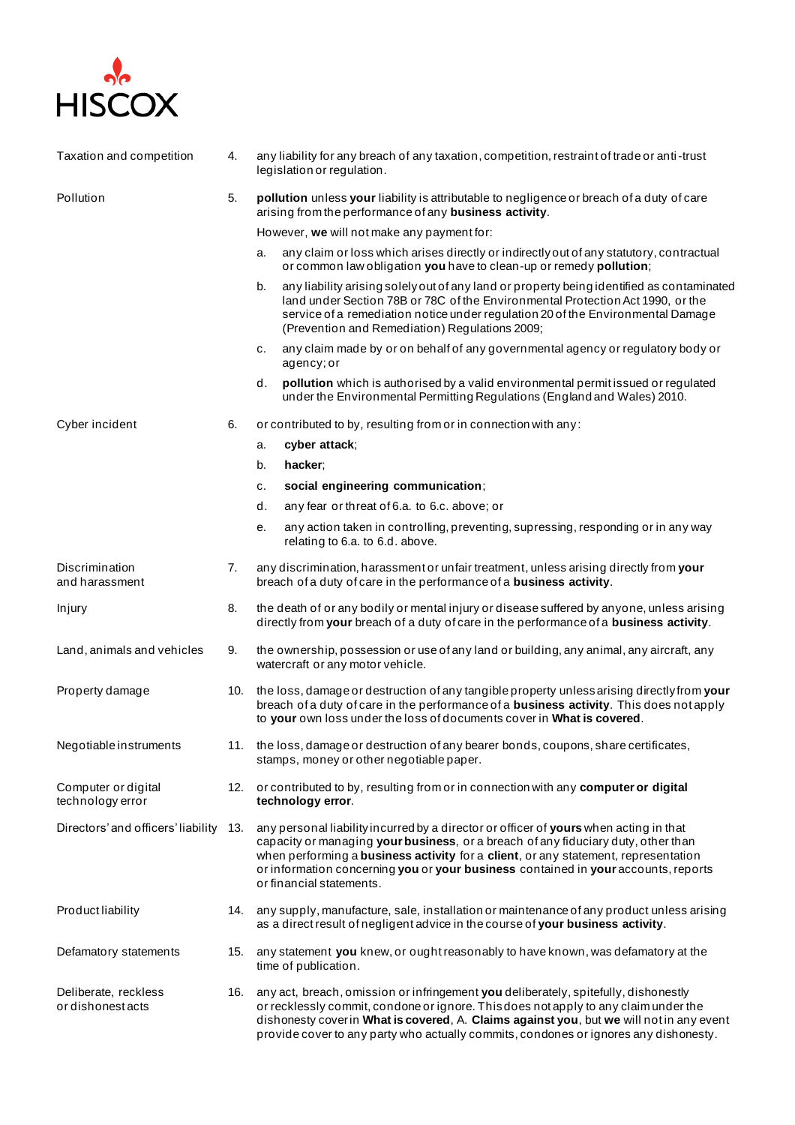

| Taxation and competition                  | 4.  | any liability for any breach of any taxation, competition, restraint of trade or anti-trust<br>legislation or regulation.                                                                                                                                                                                                                                                          |
|-------------------------------------------|-----|------------------------------------------------------------------------------------------------------------------------------------------------------------------------------------------------------------------------------------------------------------------------------------------------------------------------------------------------------------------------------------|
| Pollution                                 | 5.  | pollution unless your liability is attributable to negligence or breach of a duty of care<br>arising from the performance of any business activity.                                                                                                                                                                                                                                |
|                                           |     | However, we will not make any payment for:                                                                                                                                                                                                                                                                                                                                         |
|                                           |     | any claim or loss which arises directly or indirectly out of any statutory, contractual<br>a.<br>or common law obligation you have to clean-up or remedy pollution;                                                                                                                                                                                                                |
|                                           |     | any liability arising solely out of any land or property being identified as contaminated<br>b.<br>land under Section 78B or 78C of the Environmental Protection Act 1990, or the<br>service of a remediation notice under regulation 20 of the Environmental Damage<br>(Prevention and Remediation) Regulations 2009;                                                             |
|                                           |     | any claim made by or on behalf of any governmental agency or regulatory body or<br>с.<br>agency; or                                                                                                                                                                                                                                                                                |
|                                           |     | pollution which is authorised by a valid environmental permit issued or regulated<br>d.<br>under the Environmental Permitting Regulations (England and Wales) 2010.                                                                                                                                                                                                                |
| Cyber incident                            | 6.  | or contributed to by, resulting from or in connection with any:                                                                                                                                                                                                                                                                                                                    |
|                                           |     | cyber attack;<br>a.                                                                                                                                                                                                                                                                                                                                                                |
|                                           |     | b.<br>hacker;                                                                                                                                                                                                                                                                                                                                                                      |
|                                           |     | social engineering communication;<br>с.                                                                                                                                                                                                                                                                                                                                            |
|                                           |     | d.<br>any fear or threat of 6.a. to 6.c. above; or                                                                                                                                                                                                                                                                                                                                 |
|                                           |     | any action taken in controlling, preventing, supressing, responding or in any way<br>е.<br>relating to 6.a. to 6.d. above.                                                                                                                                                                                                                                                         |
| Discrimination<br>and harassment          | 7.  | any discrimination, harassment or unfair treatment, unless arising directly from your<br>breach of a duty of care in the performance of a business activity.                                                                                                                                                                                                                       |
| Injury                                    | 8.  | the death of or any bodily or mental injury or disease suffered by anyone, unless arising<br>directly from your breach of a duty of care in the performance of a business activity.                                                                                                                                                                                                |
| Land, animals and vehicles                | 9.  | the ownership, possession or use of any land or building, any animal, any aircraft, any<br>watercraft or any motor vehicle.                                                                                                                                                                                                                                                        |
| Property damage                           |     | 10. the loss, damage or destruction of any tangible property unless arising directly from your<br>breach of a duty of care in the performance of a business activity. This does not apply<br>to your own loss under the loss of documents cover in What is covered.                                                                                                                |
| Negotiable instruments                    |     | 11. the loss, damage or destruction of any bearer bonds, coupons, share certificates,<br>stamps, money or other negotiable paper.                                                                                                                                                                                                                                                  |
| Computer or digital<br>technology error   | 12. | or contributed to by, resulting from or in connection with any computer or digital<br>technology error.                                                                                                                                                                                                                                                                            |
| Directors' and officers' liability        | 13. | any personal liability incurred by a director or officer of yours when acting in that<br>capacity or managing your business, or a breach of any fiduciary duty, other than<br>when performing a business activity for a client, or any statement, representation<br>or information concerning you or your business contained in your accounts, reports<br>or financial statements. |
| Product liability                         | 14. | any supply, manufacture, sale, installation or maintenance of any product unless arising<br>as a direct result of negligent advice in the course of your business activity.                                                                                                                                                                                                        |
| Defamatory statements                     | 15. | any statement you knew, or ought reasonably to have known, was defamatory at the<br>time of publication.                                                                                                                                                                                                                                                                           |
| Deliberate, reckless<br>or dishonest acts | 16. | any act, breach, omission or infringement you deliberately, spitefully, dishonestly<br>or recklessly commit, condone or ignore. This does not apply to any claim under the<br>dishonesty cover in What is covered, A. Claims against you, but we will not in any event<br>provide cover to any party who actually commits, condones or ignores any dishonesty.                     |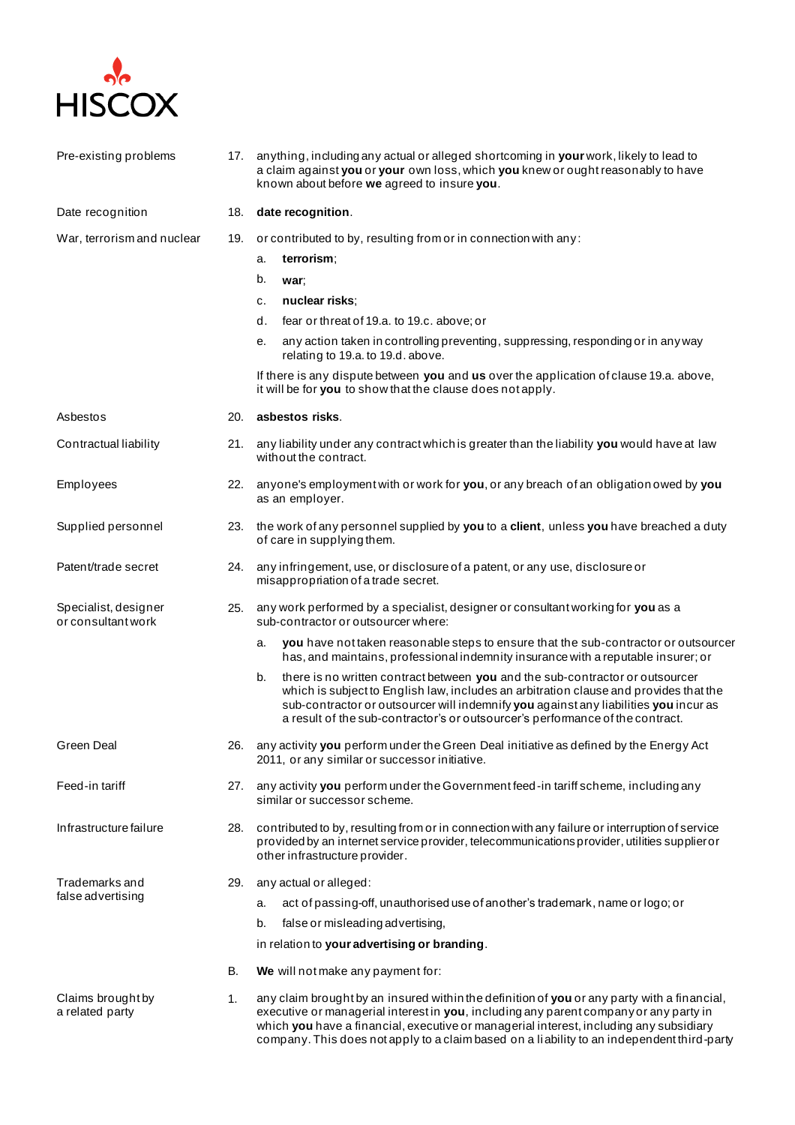

| Pre-existing problems                      | 17. | anything, including any actual or alleged shortcoming in your work, likely to lead to<br>a claim against you or your own loss, which you knew or ought reasonably to have<br>known about before we agreed to insure you.                                                                                                                                                     |
|--------------------------------------------|-----|------------------------------------------------------------------------------------------------------------------------------------------------------------------------------------------------------------------------------------------------------------------------------------------------------------------------------------------------------------------------------|
| Date recognition                           | 18. | date recognition.                                                                                                                                                                                                                                                                                                                                                            |
| War, terrorism and nuclear                 | 19. | or contributed to by, resulting from or in connection with any:                                                                                                                                                                                                                                                                                                              |
|                                            |     | terrorism;<br>a.                                                                                                                                                                                                                                                                                                                                                             |
|                                            |     | b.<br>war;                                                                                                                                                                                                                                                                                                                                                                   |
|                                            |     | nuclear risks;<br>с.                                                                                                                                                                                                                                                                                                                                                         |
|                                            |     | d.<br>fear or threat of 19.a. to 19.c. above; or                                                                                                                                                                                                                                                                                                                             |
|                                            |     | any action taken in controlling preventing, suppressing, responding or in any way<br>е.<br>relating to 19.a. to 19.d. above.                                                                                                                                                                                                                                                 |
|                                            |     | If there is any dispute between you and us over the application of clause 19.a. above,<br>it will be for you to show that the clause does not apply.                                                                                                                                                                                                                         |
| Asbestos                                   | 20. | asbestos risks.                                                                                                                                                                                                                                                                                                                                                              |
| Contractual liability                      | 21. | any liability under any contract which is greater than the liability you would have at law<br>without the contract.                                                                                                                                                                                                                                                          |
| Employees                                  | 22. | anyone's employment with or work for you, or any breach of an obligation owed by you<br>as an employer.                                                                                                                                                                                                                                                                      |
| Supplied personnel                         | 23. | the work of any personnel supplied by you to a client, unless you have breached a duty<br>of care in supplying them.                                                                                                                                                                                                                                                         |
| Patent/trade secret                        | 24. | any infringement, use, or disclosure of a patent, or any use, disclosure or<br>misappropriation of a trade secret.                                                                                                                                                                                                                                                           |
| Specialist, designer<br>or consultant work | 25. | any work performed by a specialist, designer or consultant working for you as a<br>sub-contractor or outsourcer where:                                                                                                                                                                                                                                                       |
|                                            |     | you have not taken reasonable steps to ensure that the sub-contractor or outsourcer<br>а.<br>has, and maintains, professional indemnity insurance with a reputable insurer; or                                                                                                                                                                                               |
|                                            |     | b.<br>there is no written contract between you and the sub-contractor or outsourcer<br>which is subject to English law, includes an arbitration clause and provides that the<br>sub-contractor or outsourcer will indemnify you against any liabilities you incur as<br>a result of the sub-contractor's or outsourcer's performance of the contract.                        |
| <b>Green Deal</b>                          |     | 26. any activity you perform under the Green Deal initiative as defined by the Energy Act<br>2011, or any similar or successor initiative.                                                                                                                                                                                                                                   |
| Feed-in tariff                             | 27. | any activity you perform under the Government feed-in tariff scheme, including any<br>similar or successor scheme.                                                                                                                                                                                                                                                           |
| Infrastructure failure                     | 28. | contributed to by, resulting from or in connection with any failure or interruption of service<br>provided by an internet service provider, telecommunications provider, utilities supplier or<br>other infrastructure provider.                                                                                                                                             |
| Trademarks and                             | 29. | any actual or alleged:                                                                                                                                                                                                                                                                                                                                                       |
| false advertising                          |     | act of passing-off, unauthorised use of another's trademark, name or logo; or<br>a.                                                                                                                                                                                                                                                                                          |
|                                            |     | false or misleading advertising,<br>b.                                                                                                                                                                                                                                                                                                                                       |
|                                            |     | in relation to your advertising or branding.                                                                                                                                                                                                                                                                                                                                 |
|                                            | В.  | We will not make any payment for:                                                                                                                                                                                                                                                                                                                                            |
| Claims brought by<br>a related party       | 1.  | any claim brought by an insured within the definition of you or any party with a financial,<br>executive or managerial interest in you, including any parent company or any party in<br>which you have a financial, executive or managerial interest, including any subsidiary<br>company. This does not apply to a claim based on a liability to an independent third-party |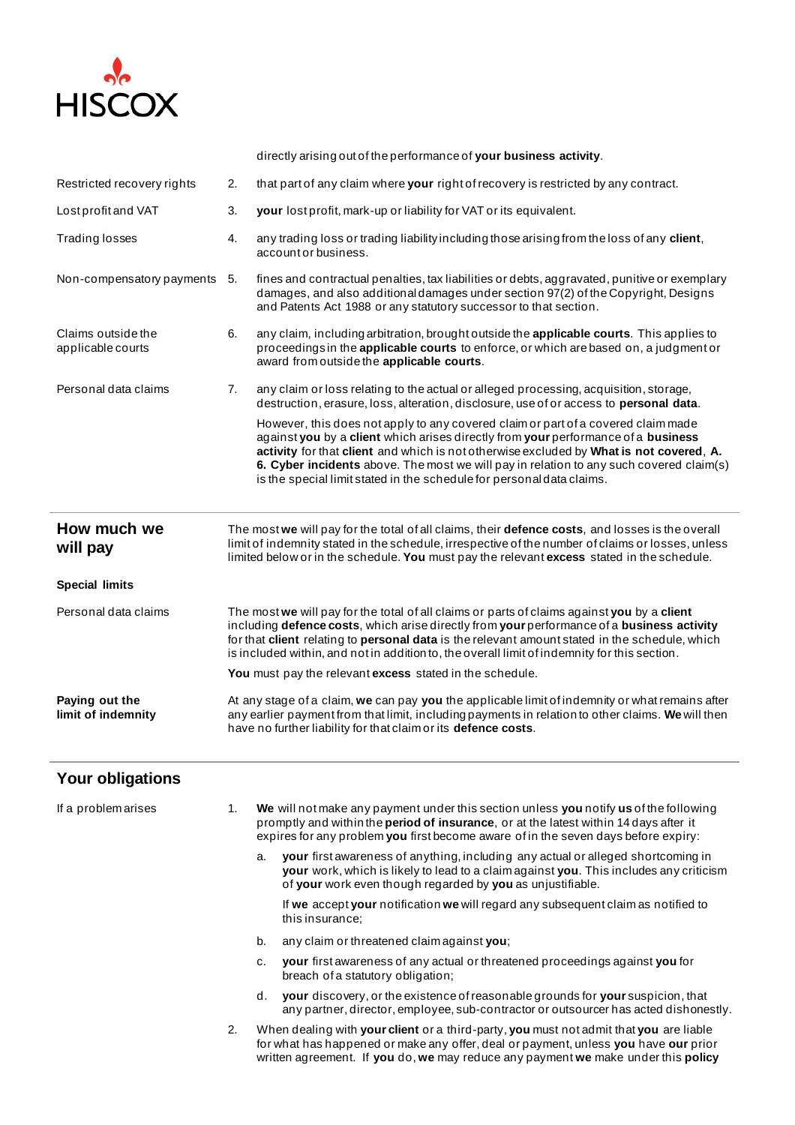

directly arising out of the performance of **your business activity**. Restricted recovery rights 2. that part of any claim where **your** right of recovery is restricted by any contract. Lost profit and VAT 3. **your** lost profit, mark-up or liability for VAT or its equivalent. Trading losses 4. any trading loss or trading liability including those arising from the loss of any **client**, account or business. Non-compensatory payments 5. fines and contractual penalties, tax liabilities or debts, aggravated, punitive or exemplary damages, and also additional damages under section 97(2) of the Copyright, Designs and Patents Act 1988 or any statutory successor to that section. Claims outside the applicable courts 6. any claim, including arbitration, brought outside the **applicable courts**. This applies to proceedings in the **applicable courts** to enforce, or which are based on, a judgment or award from outside the **applicable courts**. Personal data claims 7. any claim or loss relating to the actual or alleged processing, acquisition, storage, destruction, erasure, loss, alteration, disclosure, use of or access to **personal data**. However, this does not apply to any covered claim or part of a covered claim made against **you** by a **client** which arises directly from **your** performance of a **business activity** for that **client** and which is not otherwise excluded by **What is not covered**, **A. 6. Cyber incidents** above. The most we will pay in relation to any such covered claim(s) is the special limit stated in the schedule for personal data claims. **How much we will pay** The most **we** will pay for the total of all claims, their **defence costs**, and losses is the overall limit of indemnity stated in the schedule, irrespective of the number of claims or losses, unless limited below or in the schedule. **You** must pay the relevant **excess** stated in the schedule. **Special limits** Personal data claims The most **we** will pay for the total of all claims or parts of claims against **you** by a **client** including **defence costs**, which arise directly from **your** performance of a **business activity**  for that **client** relating to **personal data** is the relevant amount stated in the schedule, which is included within, and not in addition to, the overall limit of indemnity for this section. **You** must pay the relevant **excess** stated in the schedule. **Paying out the limit of indemnity** At any stage of a claim, **we** can pay **you** the applicable limit of indemnity or what remains after any earlier payment from that limit, including payments in relation to other claims. **We** will then have no further liability for that claim or its **defence costs**.

## **Your obligations**

| If a problem arises | 1. | We will not make any payment under this section unless you notify us of the following<br>promptly and within the <b>period of insurance</b> , or at the latest within 14 days after it<br>expires for any problem you first become aware of in the seven days before expiry: |
|---------------------|----|------------------------------------------------------------------------------------------------------------------------------------------------------------------------------------------------------------------------------------------------------------------------------|
|                     |    | your first awareness of anything, including any actual or alleged shortcoming in<br>a.<br>your work, which is likely to lead to a claim against you. This includes any criticism<br>of your work even though regarded by you as unjustifiable.                               |
|                     |    | If we accept your notification we will regard any subsequent claim as notified to<br>this insurance:                                                                                                                                                                         |
|                     |    | any claim or threatened claim against you:<br>b.                                                                                                                                                                                                                             |
|                     |    | your first awareness of any actual or threatened proceedings against you for<br>c.<br>breach of a statutory obligation;                                                                                                                                                      |
|                     |    | your discovery, or the existence of reasonable grounds for your suspicion, that<br>d.<br>any partner, director, employee, sub-contractor or outsourcer has acted dishonestly.                                                                                                |
|                     | 2. | When dealing with your client or a third-party, you must not admit that you are liable<br>for what has happened or make any offer, deal or payment, unless you have our prior<br>written agreement. If you do, we may reduce any payment we make under this policy           |